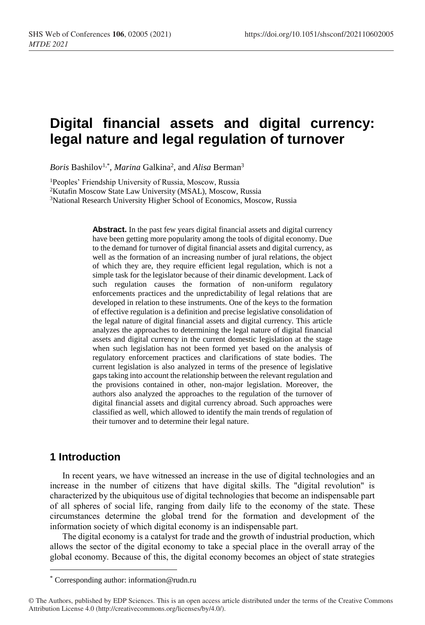# **Digital financial assets and digital currency: legal nature and legal regulation of turnover**

Boris Bashilov<sup>1,\*</sup>, *Marina* Galkina<sup>2</sup>, and *Alisa* Berman<sup>3</sup>

<sup>1</sup>Peoples' Friendship University of Russia, Moscow, Russia

<sup>2</sup>Kutafin Moscow State Law University (MSAL), Moscow, Russia

<sup>3</sup>National Research University Higher School of Economics, Moscow, Russia

**Abstract.** In the past few years digital financial assets and digital currency have been getting more popularity among the tools of digital economy. Due to the demand for turnover of digital financial assets and digital currency, as well as the formation of an increasing number of jural relations, the object of which they are, they require efficient legal regulation, which is not a simple task for the legislator because of their dinamic development. Lack of such regulation causes the formation of non-uniform regulatory enforcements practices and the unpredictability of legal relations that are developed in relation to these instruments. One of the keys to the formation of effective regulation is a definition and precise legislative consolidation of the legal nature of digital financial assets and digital currency. This article analyzes the approaches to determining the legal nature of digital financial assets and digital currency in the current domestic legislation at the stage when such legislation has not been formed yet based on the analysis of regulatory enforcement practices and clarifications of state bodies. The current legislation is also analyzed in terms of the presence of legislative gaps taking into account the relationship between the relevant regulation and the provisions contained in other, non-major legislation. Moreover, the authors also analyzed the approaches to the regulation of the turnover of digital financial assets and digital currency abroad. Such approaches were classified as well, which allowed to identify the main trends of regulation of their turnover and to determine their legal nature.

## **1 Introduction**

 $\overline{a}$ 

In recent years, we have witnessed an increase in the use of digital technologies and an increase in the number of citizens that have digital skills. The "digital revolution" is characterized by the ubiquitous use of digital technologies that become an indispensable part of all spheres of social life, ranging from daily life to the economy of the state. These circumstances determine the global trend for the formation and development of the information society of which digital economy is an indispensable part.

The digital economy is a catalyst for trade and the growth of industrial production, which allows the sector of the digital economy to take a special place in the overall array of the global economy. Because of this, the digital economy becomes an object of state strategies

<sup>\*</sup> Corresponding author: information@rudn.ru

<sup>©</sup> The Authors, published by EDP Sciences. This is an open access article distributed under the terms of the Creative Commons Attribution License 4.0 (http://creativecommons.org/licenses/by/4.0/).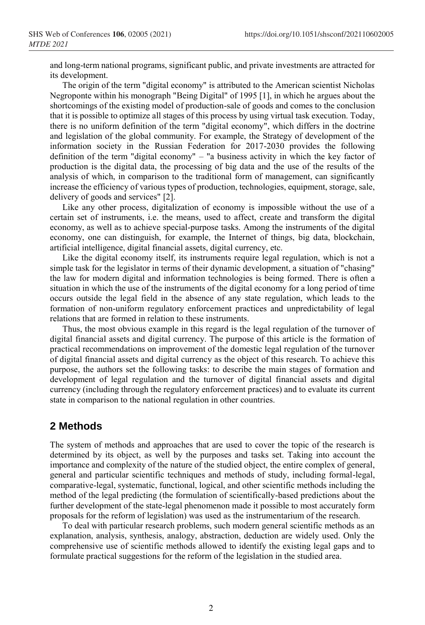and long-term national programs, significant public, and private investments are attracted for its development.

The origin of the term "digital economy" is attributed to the American scientist Nicholas Negroponte within his monograph "Being Digital" of 1995 [1], in which he argues about the shortcomings of the existing model of production-sale of goods and comes to the conclusion that it is possible to optimize all stages of this process by using virtual task execution. Today, there is no uniform definition of the term "digital economy", which differs in the doctrine and legislation of the global community. For example, the Strategy of development of the information society in the Russian Federation for 2017-2030 provides the following definition of the term "digital economy" – "a business activity in which the key factor of production is the digital data, the processing of big data and the use of the results of the analysis of which, in comparison to the traditional form of management, can significantly increase the efficiency of various types of production, technologies, equipment, storage, sale, delivery of goods and services" [2].

Like any other process, digitalization of economy is impossible without the use of a certain set of instruments, i.e. the means, used to affect, create and transform the digital economy, as well as to achieve special-purpose tasks. Among the instruments of the digital economy, one can distinguish, for example, the Internet of things, big data, blockchain, artificial intelligence, digital financial assets, digital currency, etc.

Like the digital economy itself, its instruments require legal regulation, which is not a simple task for the legislator in terms of their dynamic development, a situation of "chasing" the law for modern digital and information technologies is being formed. There is often a situation in which the use of the instruments of the digital economy for a long period of time occurs outside the legal field in the absence of any state regulation, which leads to the formation of non-uniform regulatory enforcement practices and unpredictability of legal relations that are formed in relation to these instruments.

Thus, the most obvious example in this regard is the legal regulation of the turnover of digital financial assets and digital currency. The purpose of this article is the formation of practical recommendations on improvement of the domestic legal regulation of the turnover of digital financial assets and digital currency as the object of this research. To achieve this purpose, the authors set the following tasks: to describe the main stages of formation and development of legal regulation and the turnover of digital financial assets and digital currency (including through the regulatory enforcement practices) and to evaluate its current state in comparison to the national regulation in other countries.

## **2 Methods**

The system of methods and approaches that are used to cover the topic of the research is determined by its object, as well by the purposes and tasks set. Taking into account the importance and complexity of the nature of the studied object, the entire complex of general, general and particular scientific techniques and methods of study, including formal-legal, comparative-legal, systematic, functional, logical, and other scientific methods including the method of the legal predicting (the formulation of scientifically-based predictions about the further development of the state-legal phenomenon made it possible to most accurately form proposals for the reform of legislation) was used as the instrumentarium of the research.

To deal with particular research problems, such modern general scientific methods as an explanation, analysis, synthesis, analogy, abstraction, deduction are widely used. Only the comprehensive use of scientific methods allowed to identify the existing legal gaps and to formulate practical suggestions for the reform of the legislation in the studied area.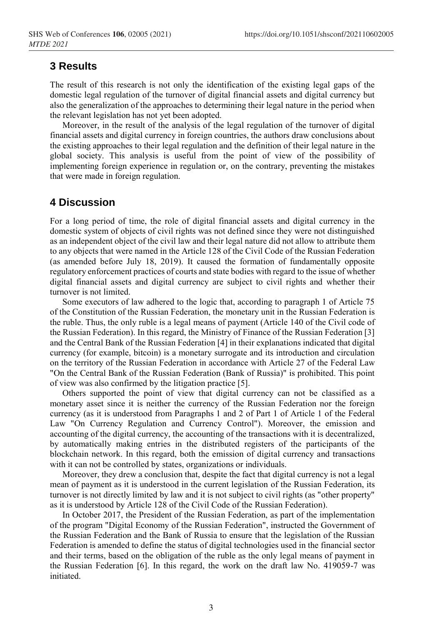## **3 Results**

The result of this research is not only the identification of the existing legal gaps of the domestic legal regulation of the turnover of digital financial assets and digital currency but also the generalization of the approaches to determining their legal nature in the period when the relevant legislation has not yet been adopted.

Moreover, in the result of the analysis of the legal regulation of the turnover of digital financial assets and digital currency in foreign countries, the authors draw conclusions about the existing approaches to their legal regulation and the definition of their legal nature in the global society. This analysis is useful from the point of view of the possibility of implementing foreign experience in regulation or, on the contrary, preventing the mistakes that were made in foreign regulation.

#### **4 Discussion**

For a long period of time, the role of digital financial assets and digital currency in the domestic system of objects of civil rights was not defined since they were not distinguished as an independent object of the civil law and their legal nature did not allow to attribute them to any objects that were named in the Article 128 of the Civil Code of the Russian Federation (as amended before July 18, 2019). It caused the formation of fundamentally opposite regulatory enforcement practices of courts and state bodies with regard to the issue of whether digital financial assets and digital currency are subject to civil rights and whether their turnover is not limited.

Some executors of law adhered to the logic that, according to paragraph 1 of Article 75 of the Constitution of the Russian Federation, the monetary unit in the Russian Federation is the ruble. Thus, the only ruble is a legal means of payment (Article 140 of the Civil code of the Russian Federation). In this regard, the Ministry of Finance of the Russian Federation [3] and the Central Bank of the Russian Federation [4] in their explanations indicated that digital currency (for example, bitcoin) is a monetary surrogate and its introduction and circulation on the territory of the Russian Federation in accordance with Article 27 of the Federal Law "On the Central Bank of the Russian Federation (Bank of Russia)" is prohibited. This point of view was also confirmed by the litigation practice [5].

Others supported the point of view that digital currency can not be classified as a monetary asset since it is neither the currency of the Russian Federation nor the foreign currency (as it is understood from Paragraphs 1 and 2 of Part 1 of Article 1 of the Federal Law "On Currency Regulation and Currency Control"). Moreover, the emission and accounting of the digital currency, the accounting of the transactions with it is decentralized, by automatically making entries in the distributed registers of the participants of the blockchain network. In this regard, both the emission of digital currency and transactions with it can not be controlled by states, organizations or individuals.

Moreover, they drew a conclusion that, despite the fact that digital currency is not a legal mean of payment as it is understood in the current legislation of the Russian Federation, its turnover is not directly limited by law and it is not subject to civil rights (as "other property" as it is understood by Article 128 of the Civil Code of the Russian Federation).

In October 2017, the President of the Russian Federation, as part of the implementation of the program "Digital Economy of the Russian Federation", instructed the Government of the Russian Federation and the Bank of Russia to ensure that the legislation of the Russian Federation is amended to define the status of digital technologies used in the financial sector and their terms, based on the obligation of the ruble as the only legal means of payment in the Russian Federation [6]. In this regard, the work on the draft law No. 419059-7 was initiated.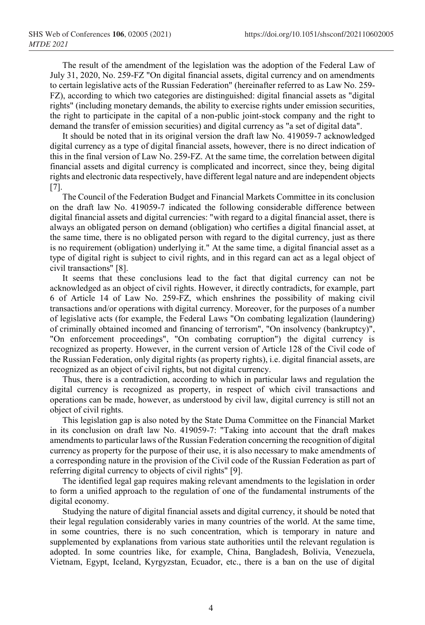The result of the amendment of the legislation was the adoption of the Federal Law of July 31, 2020, No. 259-FZ "On digital financial assets, digital currency and on amendments to certain legislative acts of the Russian Federation" (hereinafter referred to as Law No. 259- FZ), according to which two categories are distinguished: digital financial assets as "digital rights" (including monetary demands, the ability to exercise rights under emission securities, the right to participate in the capital of a non-public joint-stock company and the right to demand the transfer of emission securities) and digital currency as "a set of digital data".

It should be noted that in its original version the draft law No. 419059-7 acknowledged digital currency as a type of digital financial assets, however, there is no direct indication of this in the final version of Law No. 259-FZ. At the same time, the correlation between digital financial assets and digital currency is complicated and incorrect, since they, being digital rights and electronic data respectively, have different legal nature and are independent objects [7].

The Council of the Federation Budget and Financial Markets Committee in its conclusion on the draft law No. 419059-7 indicated the following considerable difference between digital financial assets and digital currencies: "with regard to a digital financial asset, there is always an obligated person on demand (obligation) who certifies a digital financial asset, at the same time, there is no obligated person with regard to the digital currency, just as there is no requirement (obligation) underlying it." At the same time, a digital financial asset as a type of digital right is subject to civil rights, and in this regard can act as a legal object of civil transactions" [8].

It seems that these conclusions lead to the fact that digital currency can not be acknowledged as an object of civil rights. However, it directly contradicts, for example, part 6 of Article 14 of Law No. 259-FZ, which enshrines the possibility of making civil transactions and/or operations with digital currency. Moreover, for the purposes of a number of legislative acts (for example, the Federal Laws "On combating legalization (laundering) of criminally obtained incomed and financing of terrorism", "On insolvency (bankruptcy)", "On enforcement proceedings", "On combating corruption") the digital currency is recognized as property. However, in the current version of Article 128 of the Civil code of the Russian Federation, only digital rights (as property rights), i.e. digital financial assets, are recognized as an object of civil rights, but not digital currency.

Thus, there is a contradiction, according to which in particular laws and regulation the digital currency is recognized as property, in respect of which civil transactions and operations can be made, however, as understood by civil law, digital currency is still not an object of civil rights.

This legislation gap is also noted by the State Duma Committee on the Financial Market in its conclusion on draft law No. 419059-7: "Taking into account that the draft makes amendments to particular laws of the Russian Federation concerning the recognition of digital currency as property for the purpose of their use, it is also necessary to make amendments of a corresponding nature in the provision of the Civil code of the Russian Federation as part of referring digital currency to objects of civil rights" [9].

The identified legal gap requires making relevant amendments to the legislation in order to form a unified approach to the regulation of one of the fundamental instruments of the digital economy.

Studying the nature of digital financial assets and digital currency, it should be noted that their legal regulation considerably varies in many countries of the world. At the same time, in some countries, there is no such concentration, which is temporary in nature and supplemented by explanations from various state authorities until the relevant regulation is adopted. In some countries like, for example, China, Bangladesh, Bolivia, Venezuela, Vietnam, Egypt, Iceland, Kyrgyzstan, Ecuador, etc., there is a ban on the use of digital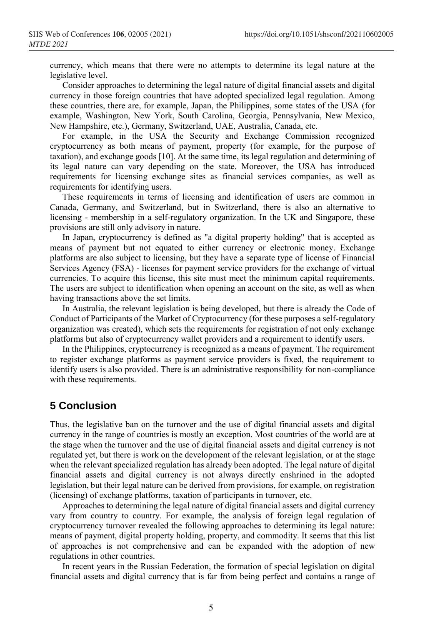currency, which means that there were no attempts to determine its legal nature at the legislative level.

Consider approaches to determining the legal nature of digital financial assets and digital currency in those foreign countries that have adopted specialized legal regulation. Among these countries, there are, for example, Japan, the Philippines, some states of the USA (for example, Washington, New York, South Carolina, Georgia, Pennsylvania, New Mexico, New Hampshire, etc.), Germany, Switzerland, UAE, Australia, Canada, etc.

For example, in the USA the Security and Exchange Commission recognized cryptocurrency as both means of payment, property (for example, for the purpose of taxation), and exchange goods [10]. At the same time, its legal regulation and determining of its legal nature can vary depending on the state. Moreover, the USA has introduced requirements for licensing exchange sites as financial services companies, as well as requirements for identifying users.

These requirements in terms of licensing and identification of users are common in Canada, Germany, and Switzerland, but in Switzerland, there is also an alternative to licensing - membership in a self-regulatory organization. In the UK and Singapore, these provisions are still only advisory in nature.

In Japan, cryptocurrency is defined as "a digital property holding" that is accepted as means of payment but not equated to either currency or electronic money. Exchange platforms are also subject to licensing, but they have a separate type of license of Financial Services Agency (FSA) - licenses for payment service providers for the exchange of virtual currencies. To acquire this license, this site must meet the minimum capital requirements. The users are subject to identification when opening an account on the site, as well as when having transactions above the set limits.

In Australia, the relevant legislation is being developed, but there is already the Code of Conduct of Participants of the Market of Cryptocurrency (for these purposes a self-regulatory organization was created), which sets the requirements for registration of not only exchange platforms but also of cryptocurrency wallet providers and a requirement to identify users.

In the Philippines, cryptocurrency is recognized as a means of payment. The requirement to register exchange platforms as payment service providers is fixed, the requirement to identify users is also provided. There is an administrative responsibility for non-compliance with these requirements.

#### **5 Conclusion**

Thus, the legislative ban on the turnover and the use of digital financial assets and digital currency in the range of countries is mostly an exception. Most countries of the world are at the stage when the turnover and the use of digital financial assets and digital currency is not regulated yet, but there is work on the development of the relevant legislation, or at the stage when the relevant specialized regulation has already been adopted. The legal nature of digital financial assets and digital currency is not always directly enshrined in the adopted legislation, but their legal nature can be derived from provisions, for example, on registration (licensing) of exchange platforms, taxation of participants in turnover, etc.

Approaches to determining the legal nature of digital financial assets and digital currency vary from country to country. For example, the analysis of foreign legal regulation of cryptocurrency turnover revealed the following approaches to determining its legal nature: means of payment, digital property holding, property, and commodity. It seems that this list of approaches is not comprehensive and can be expanded with the adoption of new regulations in other countries.

In recent years in the Russian Federation, the formation of special legislation on digital financial assets and digital currency that is far from being perfect and contains a range of